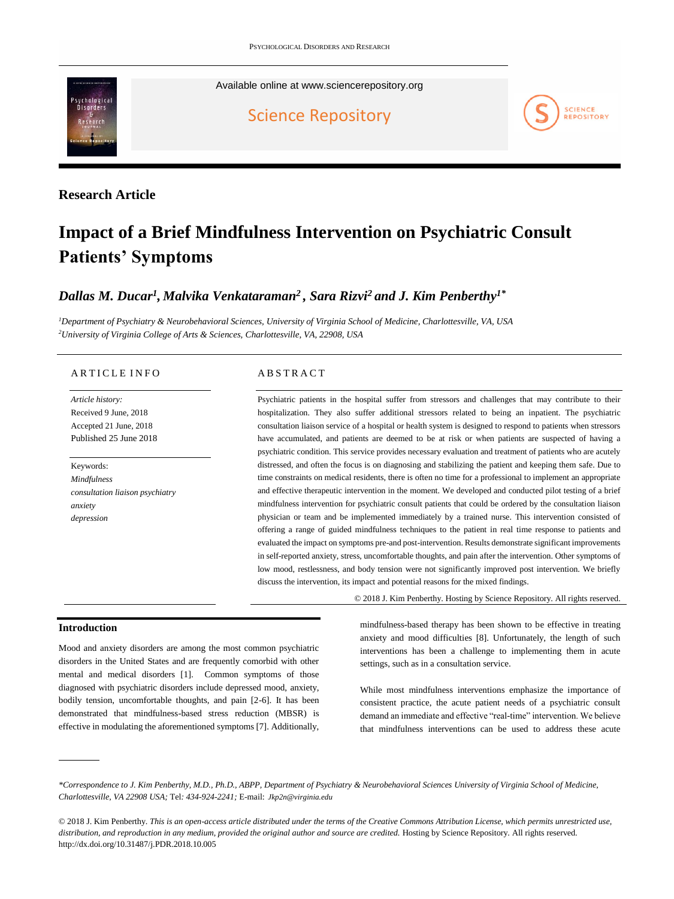

Available online at [www.sciencerepository.org](https://www.sciencerepository.org/psychological-disorders-and-research)

[Science Repository](https://www.sciencerepository.org/)



# **Research Article**

# **Impact of a Brief Mindfulness Intervention on Psychiatric Consult Patients' Symptoms**

# *Dallas M. Ducar<sup>1</sup> , Malvika Venkataraman<sup>2</sup> , Sara Rizvi<sup>2</sup> and J. Kim Penberthy1\**

*<sup>1</sup>Department of Psychiatry & Neurobehavioral Sciences, University of Virginia School of Medicine, Charlottesville, VA, USA <sup>2</sup>University of Virginia College of Arts & Sciences, Charlottesville, VA, 22908, USA*

### ARTICLE INFO

*Article history:*  Received 9 June, 2018 Accepted 21 June, 2018 Published 25 June 2018

Keywords: *Mindfulness consultation liaison psychiatry anxiety depression*

## A B S T R A C T

Psychiatric patients in the hospital suffer from stressors and challenges that may contribute to their hospitalization. They also suffer additional stressors related to being an inpatient. The psychiatric consultation liaison service of a hospital or health system is designed to respond to patients when stressors have accumulated, and patients are deemed to be at risk or when patients are suspected of having a psychiatric condition. This service provides necessary evaluation and treatment of patients who are acutely distressed, and often the focus is on diagnosing and stabilizing the patient and keeping them safe. Due to time constraints on medical residents, there is often no time for a professional to implement an appropriate and effective therapeutic intervention in the moment. We developed and conducted pilot testing of a brief mindfulness intervention for psychiatric consult patients that could be ordered by the consultation liaison physician or team and be implemented immediately by a trained nurse. This intervention consisted of offering a range of guided mindfulness techniques to the patient in real time response to patients and evaluated the impact on symptoms pre-and post-intervention. Results demonstrate significant improvements in self-reported anxiety, stress, uncomfortable thoughts, and pain after the intervention. Other symptoms of low mood, restlessness, and body tension were not significantly improved post intervention. We briefly discuss the intervention, its impact and potential reasons for the mixed findings.

© 2018 J. Kim Penberthy. Hosting by Science Repository. All rights reserved.

## **Introduction**

Mood and anxiety disorders are among the most common psychiatric disorders in the United States and are frequently comorbid with other mental and medical disorders [1]. Common symptoms of those diagnosed with psychiatric disorders include depressed mood, anxiety, bodily tension, uncomfortable thoughts, and pain [2-6]. It has been demonstrated that mindfulness-based stress reduction (MBSR) is effective in modulating the aforementioned symptoms [7]. Additionally, mindfulness-based therapy has been shown to be effective in treating anxiety and mood difficulties [8]. Unfortunately, the length of such interventions has been a challenge to implementing them in acute settings, such as in a consultation service.

While most mindfulness interventions emphasize the importance of consistent practice, the acute patient needs of a psychiatric consult demand an immediate and effective "real-time" intervention. We believe that mindfulness interventions can be used to address these acute

*<sup>\*</sup>Correspondence to J. Kim Penberthy, M.D., Ph.D., ABPP, Department of Psychiatry & Neurobehavioral Sciences University of Virginia School of Medicine, Charlottesville, VA 22908 USA;* Tel*: 434-924-2241;* E-mail: *[Jkp2n@virginia.edu](mailto:Jkp2n@virginia.edu)*

<sup>© 2018</sup> J. Kim Penberthy. *This is an open-access article distributed under the terms of the Creative Commons Attribution License, which permits unrestricted use, distribution, and reproduction in any medium, provided the original author and source are credited.* Hosting by Science Repository. All rights reserved. http://dx.doi.org/10.31487/j.PDR.2018.10.005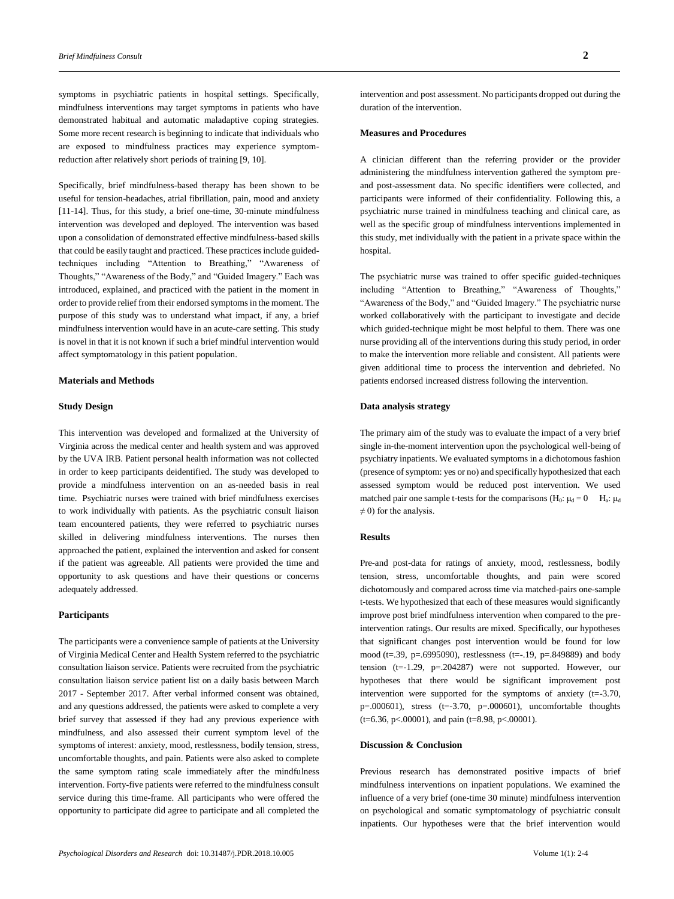symptoms in psychiatric patients in hospital settings. Specifically, mindfulness interventions may target symptoms in patients who have demonstrated habitual and automatic maladaptive coping strategies. Some more recent research is beginning to indicate that individuals who are exposed to mindfulness practices may experience symptomreduction after relatively short periods of training [9, 10].

Specifically, brief mindfulness-based therapy has been shown to be useful for tension-headaches, atrial fibrillation, pain, mood and anxiety [11-14]. Thus, for this study, a brief one-time, 30-minute mindfulness intervention was developed and deployed. The intervention was based upon a consolidation of demonstrated effective mindfulness-based skills that could be easily taught and practiced. These practices include guidedtechniques including "Attention to Breathing," "Awareness of Thoughts," "Awareness of the Body," and "Guided Imagery." Each was introduced, explained, and practiced with the patient in the moment in order to provide relief from their endorsed symptoms in the moment. The purpose of this study was to understand what impact, if any, a brief mindfulness intervention would have in an acute-care setting. This study is novel in that it is not known if such a brief mindful intervention would affect symptomatology in this patient population.

#### **Materials and Methods**

#### **Study Design**

This intervention was developed and formalized at the University of Virginia across the medical center and health system and was approved by the UVA IRB. Patient personal health information was not collected in order to keep participants deidentified. The study was developed to provide a mindfulness intervention on an as-needed basis in real time. Psychiatric nurses were trained with brief mindfulness exercises to work individually with patients. As the psychiatric consult liaison team encountered patients, they were referred to psychiatric nurses skilled in delivering mindfulness interventions. The nurses then approached the patient, explained the intervention and asked for consent if the patient was agreeable. All patients were provided the time and opportunity to ask questions and have their questions or concerns adequately addressed.

#### **Participants**

The participants were a convenience sample of patients at the University of Virginia Medical Center and Health System referred to the psychiatric consultation liaison service. Patients were recruited from the psychiatric consultation liaison service patient list on a daily basis between March 2017 - September 2017. After verbal informed consent was obtained, and any questions addressed, the patients were asked to complete a very brief survey that assessed if they had any previous experience with mindfulness, and also assessed their current symptom level of the symptoms of interest: anxiety, mood, restlessness, bodily tension, stress, uncomfortable thoughts, and pain. Patients were also asked to complete the same symptom rating scale immediately after the mindfulness intervention. Forty-five patients were referred to the mindfulness consult service during this time-frame. All participants who were offered the opportunity to participate did agree to participate and all completed the

intervention and post assessment. No participants dropped out during the duration of the intervention.

#### **Measures and Procedures**

A clinician different than the referring provider or the provider administering the mindfulness intervention gathered the symptom preand post-assessment data. No specific identifiers were collected, and participants were informed of their confidentiality. Following this, a psychiatric nurse trained in mindfulness teaching and clinical care, as well as the specific group of mindfulness interventions implemented in this study, met individually with the patient in a private space within the hospital.

The psychiatric nurse was trained to offer specific guided-techniques including "Attention to Breathing," "Awareness of Thoughts," "Awareness of the Body," and "Guided Imagery." The psychiatric nurse worked collaboratively with the participant to investigate and decide which guided-technique might be most helpful to them. There was one nurse providing all of the interventions during this study period, in order to make the intervention more reliable and consistent. All patients were given additional time to process the intervention and debriefed. No patients endorsed increased distress following the intervention.

#### **Data analysis strategy**

The primary aim of the study was to evaluate the impact of a very brief single in-the-moment intervention upon the psychological well-being of psychiatry inpatients. We evaluated symptoms in a dichotomous fashion (presence of symptom: yes or no) and specifically hypothesized that each assessed symptom would be reduced post intervention. We used matched pair one sample t-tests for the comparisons  $(H_0: \mu_d = 0$   $H_a: \mu_d$  $\neq$  0) for the analysis.

#### **Results**

Pre-and post-data for ratings of anxiety, mood, restlessness, bodily tension, stress, uncomfortable thoughts, and pain were scored dichotomously and compared across time via matched-pairs one-sample t-tests. We hypothesized that each of these measures would significantly improve post brief mindfulness intervention when compared to the preintervention ratings. Our results are mixed. Specifically, our hypotheses that significant changes post intervention would be found for low mood (t=.39, p=.6995090), restlessness (t=-.19, p=.849889) and body tension (t=-1.29, p=.204287) were not supported. However, our hypotheses that there would be significant improvement post intervention were supported for the symptoms of anxiety (t=-3.70,  $p=0.00601$ ), stress (t=-3.70,  $p=0.00601$ ), uncomfortable thoughts  $(t=6.36, p<.00001)$ , and pain  $(t=8.98, p<.00001)$ .

#### **Discussion & Conclusion**

Previous research has demonstrated positive impacts of brief mindfulness interventions on inpatient populations. We examined the influence of a very brief (one-time 30 minute) mindfulness intervention on psychological and somatic symptomatology of psychiatric consult inpatients. Our hypotheses were that the brief intervention would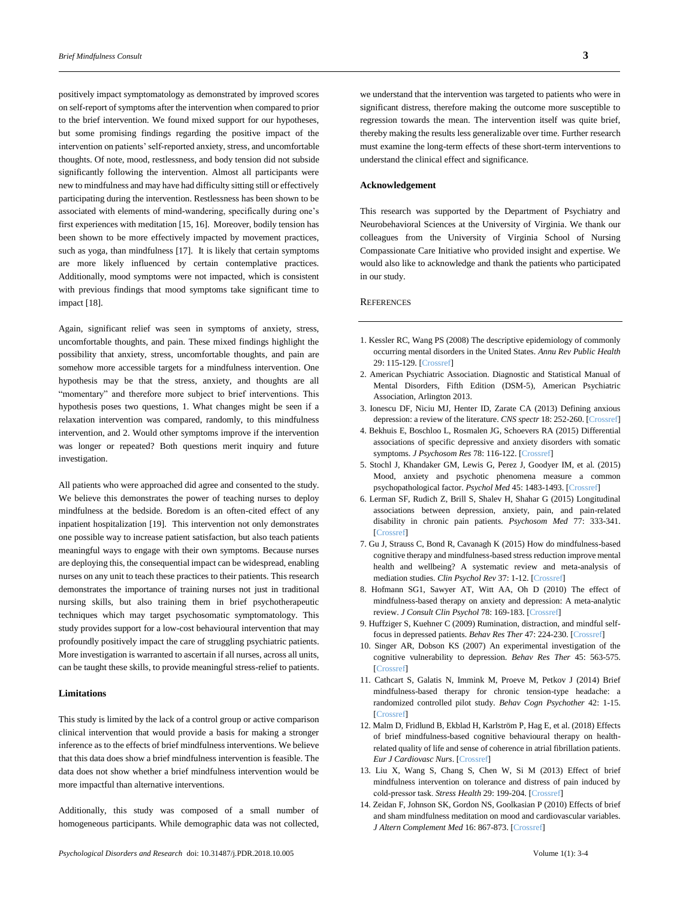positively impact symptomatology as demonstrated by improved scores on self-report of symptoms after the intervention when compared to prior to the brief intervention. We found mixed support for our hypotheses, but some promising findings regarding the positive impact of the intervention on patients' self-reported anxiety, stress, and uncomfortable thoughts. Of note, mood, restlessness, and body tension did not subside significantly following the intervention. Almost all participants were new to mindfulness and may have had difficulty sitting still or effectively participating during the intervention. Restlessness has been shown to be associated with elements of mind-wandering, specifically during one's first experiences with meditation [15, 16]. Moreover, bodily tension has been shown to be more effectively impacted by movement practices, such as yoga, than mindfulness [17]. It is likely that certain symptoms are more likely influenced by certain contemplative practices. Additionally, mood symptoms were not impacted, which is consistent with previous findings that mood symptoms take significant time to impact [18].

Again, significant relief was seen in symptoms of anxiety, stress, uncomfortable thoughts, and pain. These mixed findings highlight the possibility that anxiety, stress, uncomfortable thoughts, and pain are somehow more accessible targets for a mindfulness intervention. One hypothesis may be that the stress, anxiety, and thoughts are all "momentary" and therefore more subject to brief interventions. This hypothesis poses two questions, 1. What changes might be seen if a relaxation intervention was compared, randomly, to this mindfulness intervention, and 2. Would other symptoms improve if the intervention was longer or repeated? Both questions merit inquiry and future investigation.

All patients who were approached did agree and consented to the study. We believe this demonstrates the power of teaching nurses to deploy mindfulness at the bedside. Boredom is an often-cited effect of any inpatient hospitalization [19]. This intervention not only demonstrates one possible way to increase patient satisfaction, but also teach patients meaningful ways to engage with their own symptoms. Because nurses are deploying this, the consequential impact can be widespread, enabling nurses on any unit to teach these practices to their patients. This research demonstrates the importance of training nurses not just in traditional nursing skills, but also training them in brief psychotherapeutic techniques which may target psychosomatic symptomatology. This study provides support for a low-cost behavioural intervention that may profoundly positively impact the care of struggling psychiatric patients. More investigation is warranted to ascertain if all nurses, across all units, can be taught these skills, to provide meaningful stress-relief to patients.

#### **Limitations**

This study is limited by the lack of a control group or active comparison clinical intervention that would provide a basis for making a stronger inference as to the effects of brief mindfulness interventions. We believe that this data does show a brief mindfulness intervention is feasible. The data does not show whether a brief mindfulness intervention would be more impactful than alternative interventions.

Additionally, this study was composed of a small number of homogeneous participants. While demographic data was not collected,

we understand that the intervention was targeted to patients who were in significant distress, therefore making the outcome more susceptible to regression towards the mean. The intervention itself was quite brief, thereby making the results less generalizable over time. Further research must examine the long-term effects of these short-term interventions to understand the clinical effect and significance.

#### **Acknowledgement**

This research was supported by the Department of Psychiatry and Neurobehavioral Sciences at the University of Virginia. We thank our colleagues from the University of Virginia School of Nursing Compassionate Care Initiative who provided insight and expertise. We would also like to acknowledge and thank the patients who participated in our study.

#### **REFERENCES**

- 1. Kessler RC, Wang PS (2008) The descriptive epidemiology of commonly occurring mental disorders in the United States. *Annu Rev Public Health* 29: 115-129. [\[Crossref\]](https://www.ncbi.nlm.nih.gov/pubmed/18348707)
- 2. American Psychiatric Association. Diagnostic and Statistical Manual of Mental Disorders, Fifth Edition (DSM-5), American Psychiatric Association, Arlington 2013.
- 3. Ionescu DF, Niciu MJ, Henter ID, Zarate CA (2013) Defining anxious depression: a review of the literature. *CNS spectr* 18: 252-260. [\[Crossref\]](https://www.ncbi.nlm.nih.gov/pubmed/23507190)
- 4. Bekhuis E, Boschloo L, Rosmalen JG, Schoevers RA (2015) Differential associations of specific depressive and anxiety disorders with somatic symptoms. *J Psychosom Res* 78: 116-122. [\[Crossref\]](https://www.ncbi.nlm.nih.gov/pubmed/25524436)
- 5. Stochl J, Khandaker GM, Lewis G, Perez J, Goodyer IM, et al. (2015) Mood, anxiety and psychotic phenomena measure a common psychopathological factor. *Psychol Med* 45: 1483-1493. [\[Crossref\]](https://www.ncbi.nlm.nih.gov/pubmed/25394403)
- 6. Lerman SF, Rudich Z, Brill S, Shalev H, Shahar G (2015) Longitudinal associations between depression, anxiety, pain, and pain-related disability in chronic pain patients. *Psychosom Med* 77: 333-341. [\[Crossref\]](https://www.ncbi.nlm.nih.gov/pubmed/25849129)
- 7. Gu J, Strauss C, Bond R, Cavanagh K (2015) How do mindfulness-based cognitive therapy and mindfulness-based stress reduction improve mental health and wellbeing? A systematic review and meta-analysis of mediation studies. *Clin Psychol Rev* 37: 1-12. [\[Crossref\]](https://www.ncbi.nlm.nih.gov/pubmed/25689576)
- 8. Hofmann SG1, Sawyer AT, Witt AA, Oh D (2010) The effect of mindfulness-based therapy on anxiety and depression: A meta-analytic review. *J Consult Clin Psychol* 78: 169-183. [\[Crossref\]](https://www.ncbi.nlm.nih.gov/pubmed/20350028)
- 9. Huffziger S, Kuehner C (2009) Rumination, distraction, and mindful selffocus in depressed patients. *Behav Res Ther* 47: 224-230. [\[Crossref\]](https://www.ncbi.nlm.nih.gov/pubmed/19166993)
- 10. Singer AR, Dobson KS (2007) An experimental investigation of the cognitive vulnerability to depression. *Behav Res Ther* 45: 563-575. [\[Crossref\]](https://www.ncbi.nlm.nih.gov/pubmed/16797484)
- 11. Cathcart S, Galatis N, Immink M, Proeve M, Petkov J (2014) Brief mindfulness-based therapy for chronic tension-type headache: a randomized controlled pilot study. *Behav Cogn Psychother* 42: 1-15. [\[Crossref\]](https://www.ncbi.nlm.nih.gov/pubmed/23552390)
- 12. Malm D, Fridlund B, Ekblad H, Karlström P, Hag E, et al. (2018) Effects of brief mindfulness-based cognitive behavioural therapy on healthrelated quality of life and sense of coherence in atrial fibrillation patients. *Eur J Cardiovasc Nurs*. [\[Crossref\]](https://www.ncbi.nlm.nih.gov/pubmed/29493266)
- 13. Liu X, Wang S, Chang S, Chen W, Si M (2013) Effect of brief mindfulness intervention on tolerance and distress of pain induced by cold‐pressor task. *Stress Health* 29: 199-204. [\[Crossref\]](https://www.ncbi.nlm.nih.gov/pubmed/22961992)
- 14. Zeidan F, Johnson SK, Gordon NS, Goolkasian P (2010) Effects of brief and sham mindfulness meditation on mood and cardiovascular variables. *J Altern Complement Med* 16: 867-873. [\[Crossref\]](https://www.ncbi.nlm.nih.gov/pubmed/20666590)